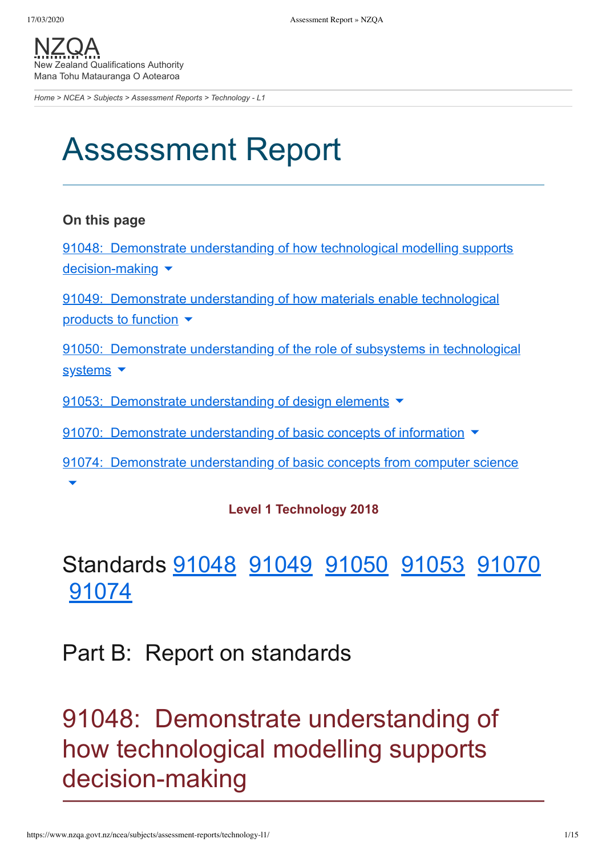[NZQA](https://www.nzqa.govt.nz/) Zealand Qualifications Authority Mana Tohu Matauranga O Aotearoa

*[Home](https://www.nzqa.govt.nz/home) > [NCEA](https://www.nzqa.govt.nz/ncea/) > [Subjects](https://www.nzqa.govt.nz/ncea/subjects/) > [Assessment Reports](https://www.nzqa.govt.nz/ncea/subjects/assessment-reports/) > Technology - L1*

# Assessment Report

#### **On this page**

91048: Demonstrate understanding of how technological modelling supports [decision-making](https://www.nzqa.govt.nz/ncea/subjects/assessment-reports/technology-l1/#heading2-0) ▼

91049: Demonstrate [understanding](https://www.nzqa.govt.nz/ncea/subjects/assessment-reports/technology-l1/#heading2-1) of how materials enable technological products to function  $\blacktriangledown$ 

91050: Demonstrate [understanding](https://www.nzqa.govt.nz/ncea/subjects/assessment-reports/technology-l1/#heading2-2) of the role of subsystems in technological systems  $\blacktriangledown$ 

91053: Demonstrate [understanding](https://www.nzqa.govt.nz/ncea/subjects/assessment-reports/technology-l1/#heading2-3) of design elements

91070: Demonstrate [understanding](https://www.nzqa.govt.nz/ncea/subjects/assessment-reports/technology-l1/#heading2-4) of basic concepts of information ▼

91074: Demonstrate [understanding](https://www.nzqa.govt.nz/ncea/subjects/assessment-reports/technology-l1/#heading2-5) of basic concepts from computer science ▾

#### **Level 1 Technology 2018**

### Standards [91048](https://www.nzqa.govt.nz/ncea/subjects/assessment-reports/technology-l1/#91048) [91049](https://www.nzqa.govt.nz/ncea/subjects/assessment-reports/technology-l1/#91049) [91050](https://www.nzqa.govt.nz/ncea/subjects/assessment-reports/technology-l1/#91050) [91053](https://www.nzqa.govt.nz/ncea/subjects/assessment-reports/technology-l1/#91053) [91070](https://www.nzqa.govt.nz/ncea/subjects/assessment-reports/technology-l1/#91070) [91074](https://www.nzqa.govt.nz/ncea/subjects/assessment-reports/technology-l1/#91074)

### Part B: Report on standards

### 91048: Demonstrate understanding of how technological modelling supports decision-making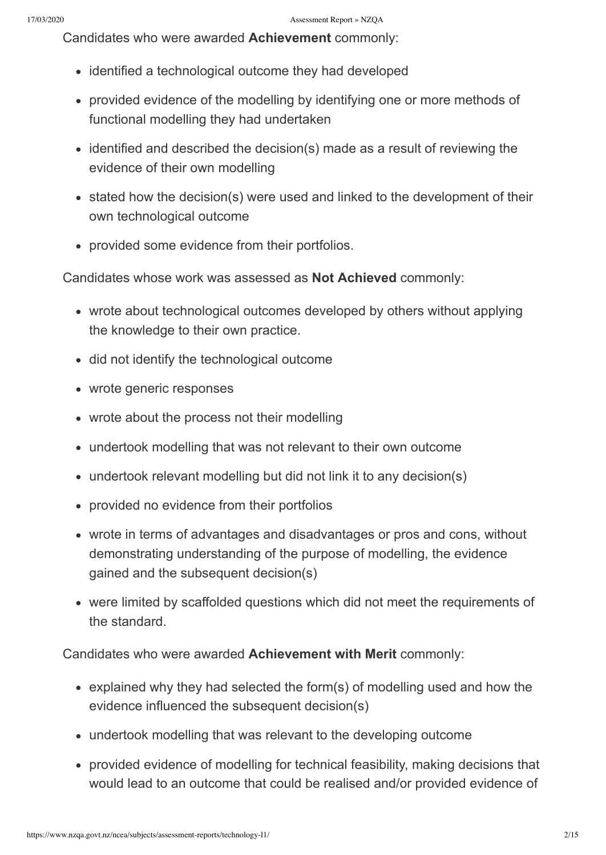Candidates who were awarded **Achievement** commonly:

- identified a technological outcome they had developed
- provided evidence of the modelling by identifying one or more methods of functional modelling they had undertaken
- identified and described the decision(s) made as a result of reviewing the evidence of their own modelling
- stated how the decision(s) were used and linked to the development of their own technological outcome
- provided some evidence from their portfolios.

Candidates whose work was assessed as **Not Achieved** commonly:

- wrote about technological outcomes developed by others without applying the knowledge to their own practice.
- did not identify the technological outcome
- wrote generic responses
- wrote about the process not their modelling
- undertook modelling that was not relevant to their own outcome
- undertook relevant modelling but did not link it to any decision(s)
- provided no evidence from their portfolios
- wrote in terms of advantages and disadvantages or pros and cons, without demonstrating understanding of the purpose of modelling, the evidence gained and the subsequent decision(s)
- were limited by scaffolded questions which did not meet the requirements of the standard.

- explained why they had selected the form(s) of modelling used and how the evidence influenced the subsequent decision(s)
- undertook modelling that was relevant to the developing outcome
- provided evidence of modelling for technical feasibility, making decisions that would lead to an outcome that could be realised and/or provided evidence of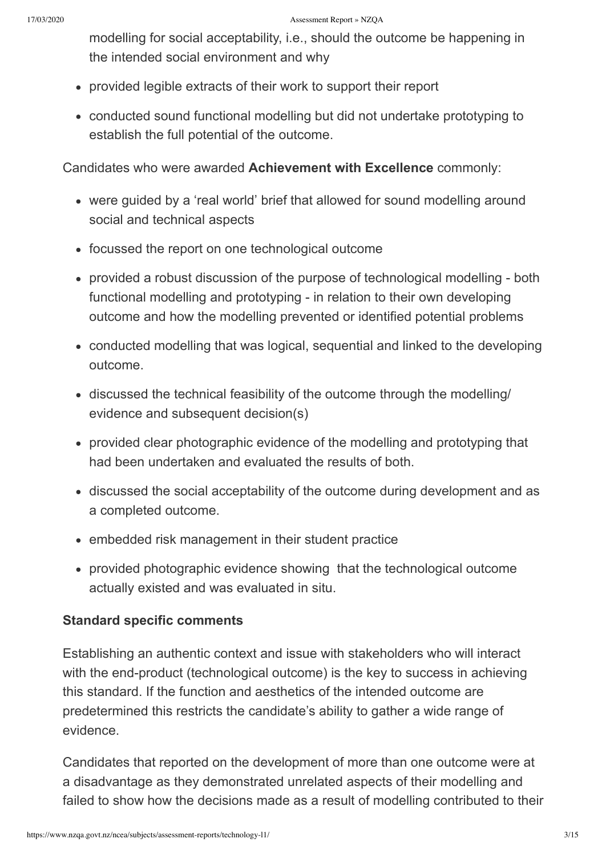modelling for social acceptability, i.e., should the outcome be happening in the intended social environment and why

- provided legible extracts of their work to support their report
- conducted sound functional modelling but did not undertake prototyping to establish the full potential of the outcome.

Candidates who were awarded **Achievement with Excellence** commonly:

- were guided by a 'real world' brief that allowed for sound modelling around social and technical aspects
- focussed the report on one technological outcome
- provided a robust discussion of the purpose of technological modelling both functional modelling and prototyping - in relation to their own developing outcome and how the modelling prevented or identified potential problems
- conducted modelling that was logical, sequential and linked to the developing outcome.
- discussed the technical feasibility of the outcome through the modelling/ evidence and subsequent decision(s)
- provided clear photographic evidence of the modelling and prototyping that had been undertaken and evaluated the results of both.
- discussed the social acceptability of the outcome during development and as a completed outcome.
- embedded risk management in their student practice
- provided photographic evidence showing that the technological outcome actually existed and was evaluated in situ.

#### **Standard specific comments**

Establishing an authentic context and issue with stakeholders who will interact with the end-product (technological outcome) is the key to success in achieving this standard. If the function and aesthetics of the intended outcome are predetermined this restricts the candidate's ability to gather a wide range of evidence.

Candidates that reported on the development of more than one outcome were at a disadvantage as they demonstrated unrelated aspects of their modelling and failed to show how the decisions made as a result of modelling contributed to their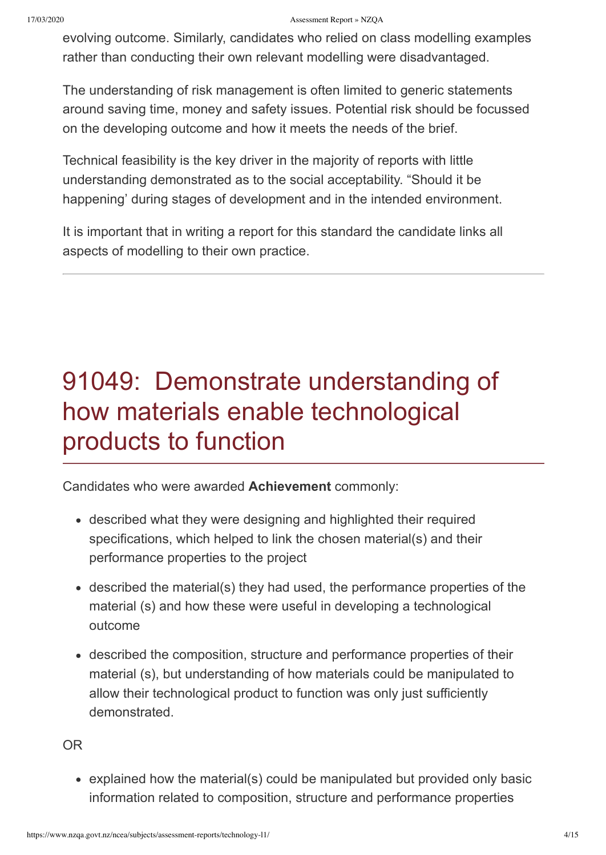#### 17/03/2020 Assessment Report » NZQA

evolving outcome. Similarly, candidates who relied on class modelling examples rather than conducting their own relevant modelling were disadvantaged.

The understanding of risk management is often limited to generic statements around saving time, money and safety issues. Potential risk should be focussed on the developing outcome and how it meets the needs of the brief.

Technical feasibility is the key driver in the majority of reports with little understanding demonstrated as to the social acceptability. "Should it be happening' during stages of development and in the intended environment.

It is important that in writing a report for this standard the candidate links all aspects of modelling to their own practice.

## 91049: Demonstrate understanding of how materials enable technological products to function

Candidates who were awarded **Achievement** commonly:

- described what they were designing and highlighted their required specifications, which helped to link the chosen material(s) and their performance properties to the project
- described the material(s) they had used, the performance properties of the material (s) and how these were useful in developing a technological outcome
- described the composition, structure and performance properties of their material (s), but understanding of how materials could be manipulated to allow their technological product to function was only just sufficiently demonstrated.

OR

explained how the material(s) could be manipulated but provided only basic information related to composition, structure and performance properties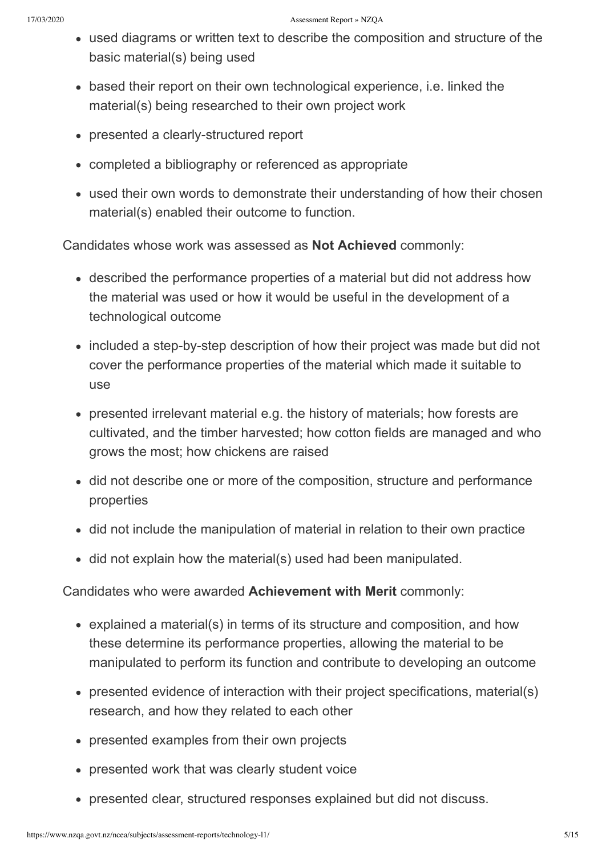- used diagrams or written text to describe the composition and structure of the basic material(s) being used
- based their report on their own technological experience, i.e. linked the material(s) being researched to their own project work
- presented a clearly-structured report
- completed a bibliography or referenced as appropriate
- used their own words to demonstrate their understanding of how their chosen material(s) enabled their outcome to function.

Candidates whose work was assessed as **Not Achieved** commonly:

- described the performance properties of a material but did not address how the material was used or how it would be useful in the development of a technological outcome
- included a step-by-step description of how their project was made but did not cover the performance properties of the material which made it suitable to use
- presented irrelevant material e.g. the history of materials; how forests are cultivated, and the timber harvested; how cotton fields are managed and who grows the most; how chickens are raised
- did not describe one or more of the composition, structure and performance properties
- did not include the manipulation of material in relation to their own practice
- did not explain how the material(s) used had been manipulated.

- explained a material(s) in terms of its structure and composition, and how these determine its performance properties, allowing the material to be manipulated to perform its function and contribute to developing an outcome
- presented evidence of interaction with their project specifications, material(s) research, and how they related to each other
- presented examples from their own projects
- presented work that was clearly student voice
- presented clear, structured responses explained but did not discuss.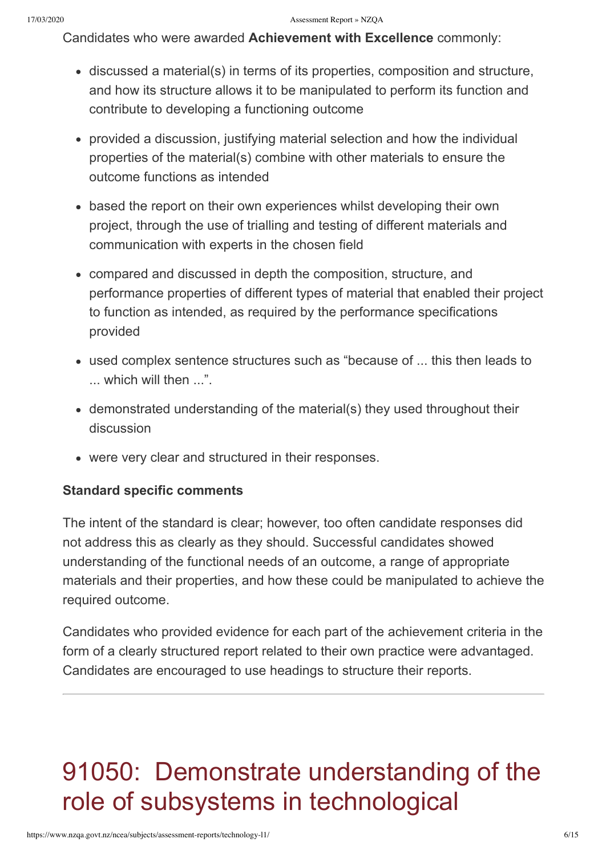- discussed a material(s) in terms of its properties, composition and structure, and how its structure allows it to be manipulated to perform its function and contribute to developing a functioning outcome
- provided a discussion, justifying material selection and how the individual properties of the material(s) combine with other materials to ensure the outcome functions as intended
- based the report on their own experiences whilst developing their own project, through the use of trialling and testing of different materials and communication with experts in the chosen field
- compared and discussed in depth the composition, structure, and performance properties of different types of material that enabled their project to function as intended, as required by the performance specifications provided
- used complex sentence structures such as "because of ... this then leads to ... which will then ...".
- demonstrated understanding of the material(s) they used throughout their discussion
- were very clear and structured in their responses.

#### **Standard specific comments**

The intent of the standard is clear; however, too often candidate responses did not address this as clearly as they should. Successful candidates showed understanding of the functional needs of an outcome, a range of appropriate materials and their properties, and how these could be manipulated to achieve the required outcome.

Candidates who provided evidence for each part of the achievement criteria in the form of a clearly structured report related to their own practice were advantaged. Candidates are encouraged to use headings to structure their reports.

## 91050: Demonstrate understanding of the role of subsystems in technological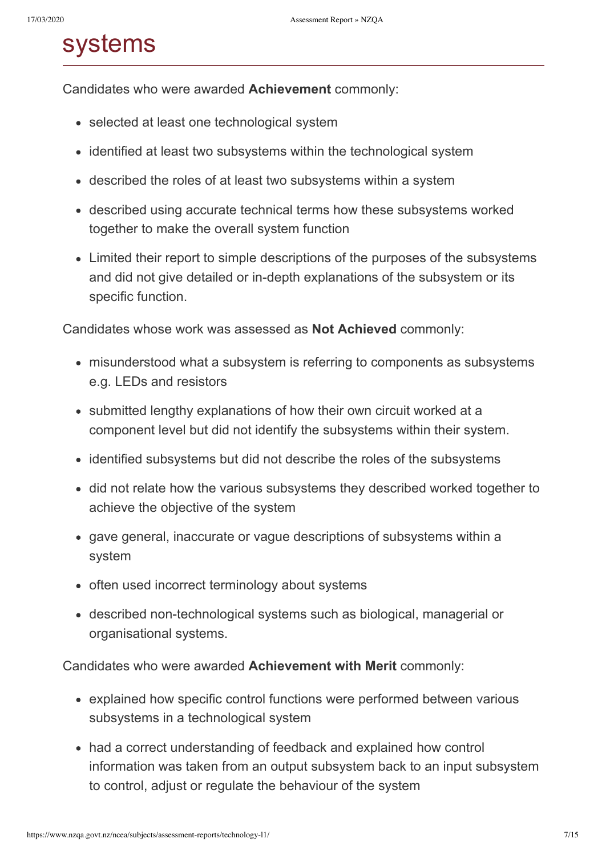### systems

Candidates who were awarded **Achievement** commonly:

- selected at least one technological system
- identified at least two subsystems within the technological system
- described the roles of at least two subsystems within a system
- described using accurate technical terms how these subsystems worked together to make the overall system function
- Limited their report to simple descriptions of the purposes of the subsystems and did not give detailed or in-depth explanations of the subsystem or its specific function.

Candidates whose work was assessed as **Not Achieved** commonly:

- misunderstood what a subsystem is referring to components as subsystems e.g. LEDs and resistors
- submitted lengthy explanations of how their own circuit worked at a component level but did not identify the subsystems within their system.
- identified subsystems but did not describe the roles of the subsystems
- did not relate how the various subsystems they described worked together to achieve the objective of the system
- gave general, inaccurate or vague descriptions of subsystems within a system
- often used incorrect terminology about systems
- described non-technological systems such as biological, managerial or organisational systems.

- explained how specific control functions were performed between various subsystems in a technological system
- had a correct understanding of feedback and explained how control information was taken from an output subsystem back to an input subsystem to control, adjust or regulate the behaviour of the system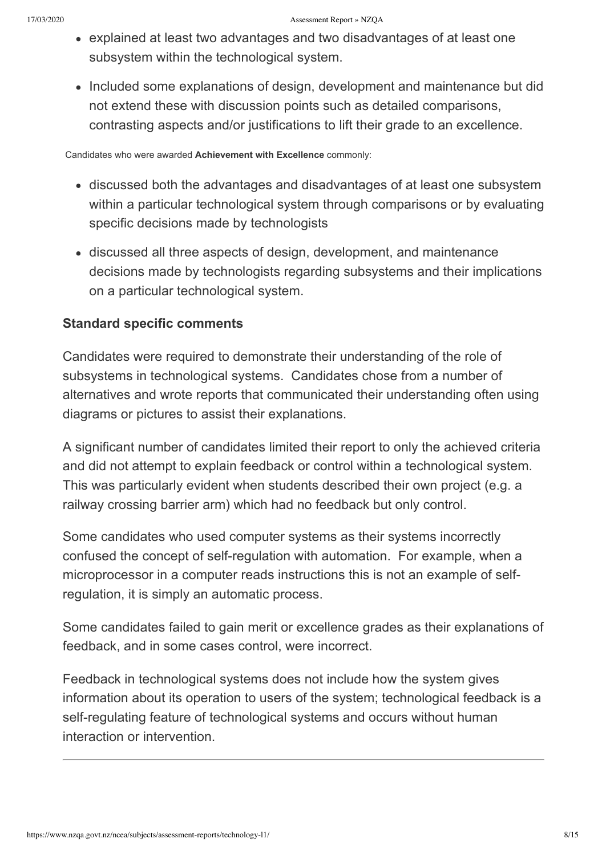- explained at least two advantages and two disadvantages of at least one subsystem within the technological system.
- Included some explanations of design, development and maintenance but did not extend these with discussion points such as detailed comparisons, contrasting aspects and/or justifications to lift their grade to an excellence.

- discussed both the advantages and disadvantages of at least one subsystem within a particular technological system through comparisons or by evaluating specific decisions made by technologists
- discussed all three aspects of design, development, and maintenance decisions made by technologists regarding subsystems and their implications on a particular technological system.

#### **Standard specific comments**

Candidates were required to demonstrate their understanding of the role of subsystems in technological systems. Candidates chose from a number of alternatives and wrote reports that communicated their understanding often using diagrams or pictures to assist their explanations.

A significant number of candidates limited their report to only the achieved criteria and did not attempt to explain feedback or control within a technological system. This was particularly evident when students described their own project (e.g. a railway crossing barrier arm) which had no feedback but only control.

Some candidates who used computer systems as their systems incorrectly confused the concept of self-regulation with automation. For example, when a microprocessor in a computer reads instructions this is not an example of selfregulation, it is simply an automatic process.

Some candidates failed to gain merit or excellence grades as their explanations of feedback, and in some cases control, were incorrect.

Feedback in technological systems does not include how the system gives information about its operation to users of the system; technological feedback is a self-regulating feature of technological systems and occurs without human interaction or intervention.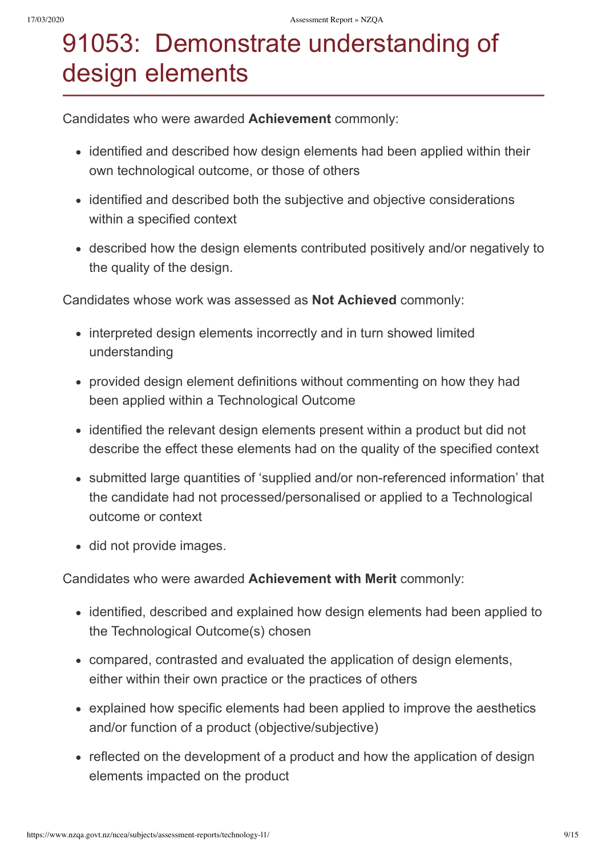## 91053: Demonstrate understanding of design elements

Candidates who were awarded **Achievement** commonly:

- identified and described how design elements had been applied within their own technological outcome, or those of others
- identified and described both the subjective and objective considerations within a specified context
- described how the design elements contributed positively and/or negatively to the quality of the design.

Candidates whose work was assessed as **Not Achieved** commonly:

- interpreted design elements incorrectly and in turn showed limited understanding
- provided design element definitions without commenting on how they had been applied within a Technological Outcome
- identified the relevant design elements present within a product but did not describe the effect these elements had on the quality of the specified context
- submitted large quantities of 'supplied and/or non-referenced information' that the candidate had not processed/personalised or applied to a Technological outcome or context
- did not provide images.

- identified, described and explained how design elements had been applied to the Technological Outcome(s) chosen
- compared, contrasted and evaluated the application of design elements, either within their own practice or the practices of others
- explained how specific elements had been applied to improve the aesthetics and/or function of a product (objective/subjective)
- reflected on the development of a product and how the application of design elements impacted on the product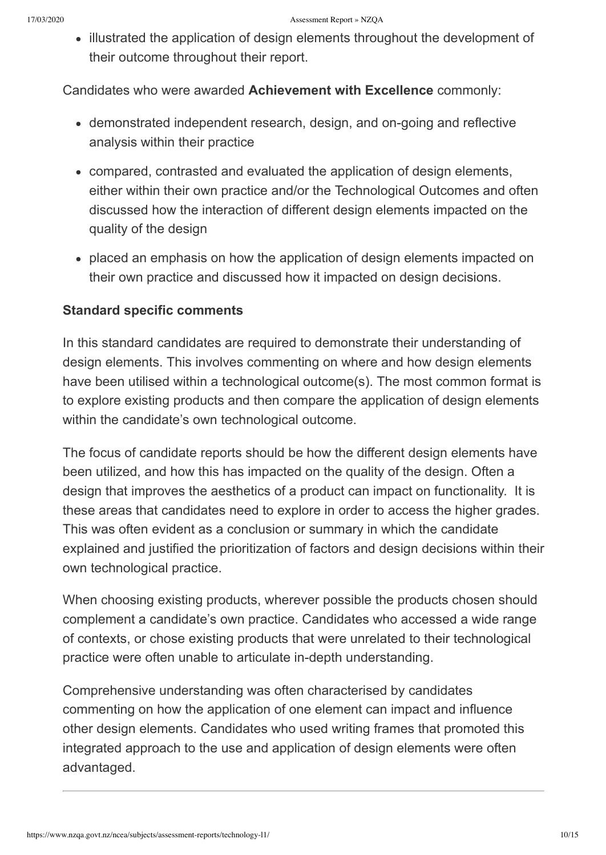• illustrated the application of design elements throughout the development of their outcome throughout their report.

Candidates who were awarded **Achievement with Excellence** commonly:

- demonstrated independent research, design, and on-going and reflective analysis within their practice
- compared, contrasted and evaluated the application of design elements, either within their own practice and/or the Technological Outcomes and often discussed how the interaction of different design elements impacted on the quality of the design
- placed an emphasis on how the application of design elements impacted on their own practice and discussed how it impacted on design decisions.

### **Standard specific comments**

In this standard candidates are required to demonstrate their understanding of design elements. This involves commenting on where and how design elements have been utilised within a technological outcome(s). The most common format is to explore existing products and then compare the application of design elements within the candidate's own technological outcome.

The focus of candidate reports should be how the different design elements have been utilized, and how this has impacted on the quality of the design. Often a design that improves the aesthetics of a product can impact on functionality. It is these areas that candidates need to explore in order to access the higher grades. This was often evident as a conclusion or summary in which the candidate explained and justified the prioritization of factors and design decisions within their own technological practice.

When choosing existing products, wherever possible the products chosen should complement a candidate's own practice. Candidates who accessed a wide range of contexts, or chose existing products that were unrelated to their technological practice were often unable to articulate in-depth understanding.

Comprehensive understanding was often characterised by candidates commenting on how the application of one element can impact and influence other design elements. Candidates who used writing frames that promoted this integrated approach to the use and application of design elements were often advantaged.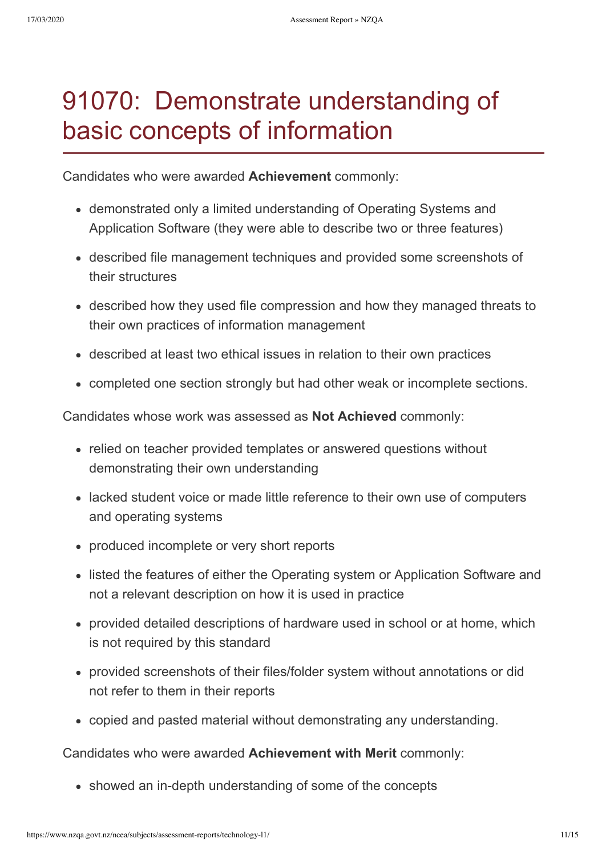### 91070: Demonstrate understanding of basic concepts of information

Candidates who were awarded **Achievement** commonly:

- demonstrated only a limited understanding of Operating Systems and Application Software (they were able to describe two or three features)
- described file management techniques and provided some screenshots of their structures
- described how they used file compression and how they managed threats to their own practices of information management
- described at least two ethical issues in relation to their own practices
- completed one section strongly but had other weak or incomplete sections.

Candidates whose work was assessed as **Not Achieved** commonly:

- relied on teacher provided templates or answered questions without demonstrating their own understanding
- lacked student voice or made little reference to their own use of computers and operating systems
- produced incomplete or very short reports
- listed the features of either the Operating system or Application Software and not a relevant description on how it is used in practice
- provided detailed descriptions of hardware used in school or at home, which is not required by this standard
- provided screenshots of their files/folder system without annotations or did not refer to them in their reports
- copied and pasted material without demonstrating any understanding.

Candidates who were awarded **Achievement with Merit** commonly:

• showed an in-depth understanding of some of the concepts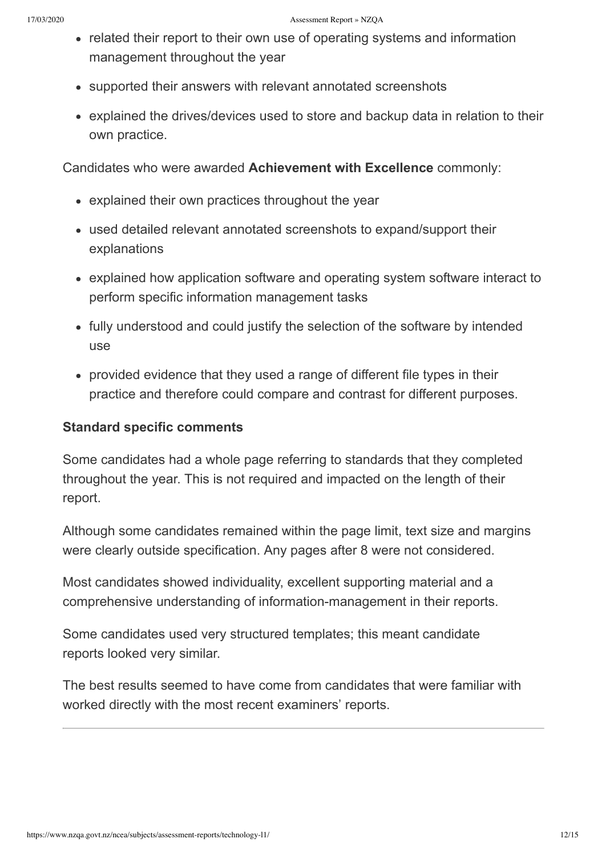- related their report to their own use of operating systems and information management throughout the year
- supported their answers with relevant annotated screenshots
- explained the drives/devices used to store and backup data in relation to their own practice.

- explained their own practices throughout the year
- used detailed relevant annotated screenshots to expand/support their explanations
- explained how application software and operating system software interact to perform specific information management tasks
- fully understood and could justify the selection of the software by intended use
- provided evidence that they used a range of different file types in their practice and therefore could compare and contrast for different purposes.

#### **Standard specific comments**

Some candidates had a whole page referring to standards that they completed throughout the year. This is not required and impacted on the length of their report.

Although some candidates remained within the page limit, text size and margins were clearly outside specification. Any pages after 8 were not considered.

Most candidates showed individuality, excellent supporting material and a comprehensive understanding of information-management in their reports.

Some candidates used very structured templates; this meant candidate reports looked very similar.

The best results seemed to have come from candidates that were familiar with worked directly with the most recent examiners' reports.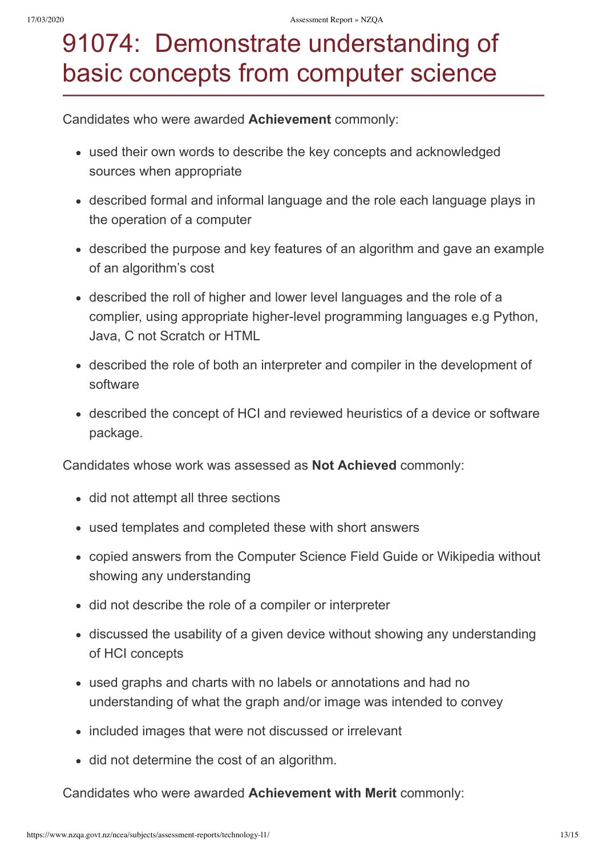## 91074: Demonstrate understanding of basic concepts from computer science

Candidates who were awarded **Achievement** commonly:

- used their own words to describe the key concepts and acknowledged sources when appropriate
- described formal and informal language and the role each language plays in the operation of a computer
- described the purpose and key features of an algorithm and gave an example of an algorithm's cost
- described the roll of higher and lower level languages and the role of a complier, using appropriate higher-level programming languages e.g Python, Java, C not Scratch or HTML
- described the role of both an interpreter and compiler in the development of software
- described the concept of HCI and reviewed heuristics of a device or software package.

Candidates whose work was assessed as **Not Achieved** commonly:

- did not attempt all three sections
- used templates and completed these with short answers
- copied answers from the Computer Science Field Guide or Wikipedia without showing any understanding
- did not describe the role of a compiler or interpreter
- discussed the usability of a given device without showing any understanding of HCI concepts
- used graphs and charts with no labels or annotations and had no understanding of what the graph and/or image was intended to convey
- included images that were not discussed or irrelevant
- did not determine the cost of an algorithm.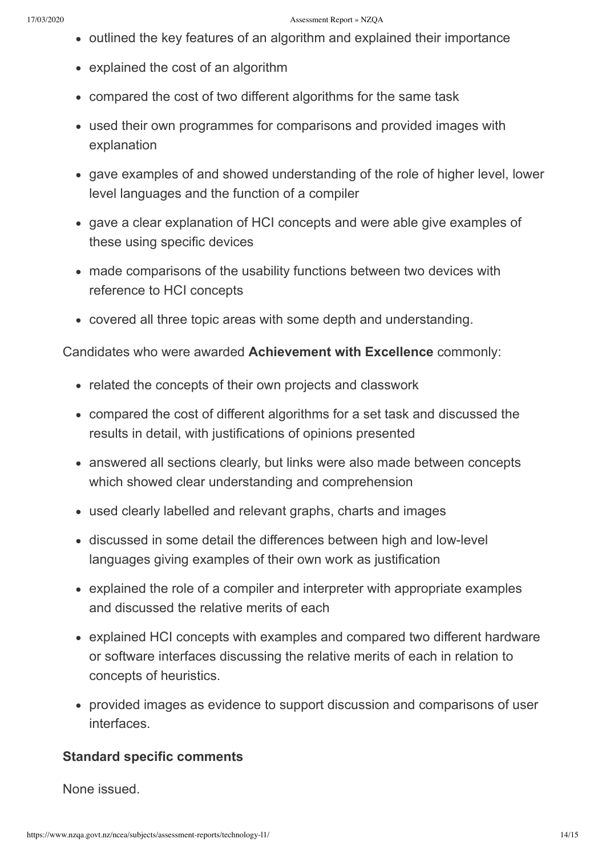- outlined the key features of an algorithm and explained their importance
- explained the cost of an algorithm
- compared the cost of two different algorithms for the same task
- used their own programmes for comparisons and provided images with explanation
- gave examples of and showed understanding of the role of higher level, lower level languages and the function of a compiler
- gave a clear explanation of HCI concepts and were able give examples of these using specific devices
- made comparisons of the usability functions between two devices with reference to HCI concepts
- covered all three topic areas with some depth and understanding.

- related the concepts of their own projects and classwork
- compared the cost of different algorithms for a set task and discussed the results in detail, with justifications of opinions presented
- answered all sections clearly, but links were also made between concepts which showed clear understanding and comprehension
- used clearly labelled and relevant graphs, charts and images
- discussed in some detail the differences between high and low-level languages giving examples of their own work as justification
- explained the role of a compiler and interpreter with appropriate examples and discussed the relative merits of each
- explained HCI concepts with examples and compared two different hardware or software interfaces discussing the relative merits of each in relation to concepts of heuristics.
- provided images as evidence to support discussion and comparisons of user interfaces.

#### **Standard specific comments**

None issued.